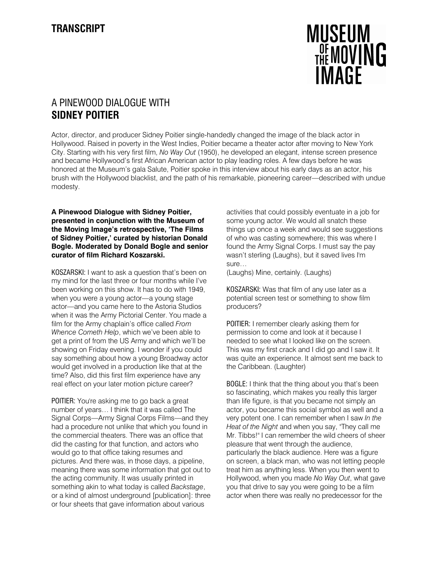# **MUSEUM**<br>DEMOVING **IMAGF**

## A PINEWOOD DIALOGUE WITH SIDNEY POITIER

Actor, director, and producer Sidney Poitier single-handedly changed the image of the black actor in Hollywood. Raised in poverty in the West Indies, Poitier became a theater actor after moving to New York City. Starting with his very first film, No Way Out (1950), he developed an elegant, intense screen presence and became Hollywood's first African American actor to play leading roles. A few days before he was honored at the Museum's gala Salute, Poitier spoke in this interview about his early days as an actor, his brush with the Hollywood blacklist, and the path of his remarkable, pioneering career—described with undue modesty.

### A Pinewood Dialogue with Sidney Poitier, presented in conjunction with the Museum of the Moving Image's retrospective, 'The Films of Sidney Poitier,' curated by historian Donald Bogle. Moderated by Donald Bogle and senior curator of film Richard Koszarski.

KOSZARSKI: I want to ask a question that's been on my mind for the last three or four months while I've been working on this show. It has to do with 1949, when you were a young actor—a young stage actor—and you came here to the Astoria Studios when it was the Army Pictorial Center. You made a film for the Army chaplain's office called From Whence Cometh Help, which we've been able to get a print of from the US Army and which we'll be showing on Friday evening. I wonder if you could say something about how a young Broadway actor would get involved in a production like that at the time? Also, did this first film experience have any real effect on your later motion picture career?

POITIER: You're asking me to go back a great number of years… I think that it was called The Signal Corps—Army Signal Corps Films—and they had a procedure not unlike that which you found in the commercial theaters. There was an office that did the casting for that function, and actors who would go to that office taking resumes and pictures. And there was, in those days, a pipeline, meaning there was some information that got out to the acting community. It was usually printed in something akin to what today is called Backstage, or a kind of almost underground [publication]: three or four sheets that gave information about various

activities that could possibly eventuate in a job for some young actor. We would all snatch these things up once a week and would see suggestions of who was casting somewhere; this was where I found the Army Signal Corps. I must say the pay wasn't sterling (Laughs), but it saved lives I'm sure…

(Laughs) Mine, certainly. (Laughs)

KOSZARSKI: Was that film of any use later as a potential screen test or something to show film producers?

POITIER: I remember clearly asking them for permission to come and look at it because I needed to see what I looked like on the screen. This was my first crack and I did go and I saw it. It was quite an experience. It almost sent me back to the Caribbean. (Laughter)

BOGLE: I think that the thing about you that's been so fascinating, which makes you really this larger than life figure, is that you became not simply an actor, you became this social symbol as well and a very potent one. I can remember when I saw In the Heat of the Night and when you say, "They call me Mr. Tibbs!" I can remember the wild cheers of sheer pleasure that went through the audience, particularly the black audience. Here was a figure on screen, a black man, who was not letting people treat him as anything less. When you then went to Hollywood, when you made No Way Out, what gave you that drive to say you were going to be a film actor when there was really no predecessor for the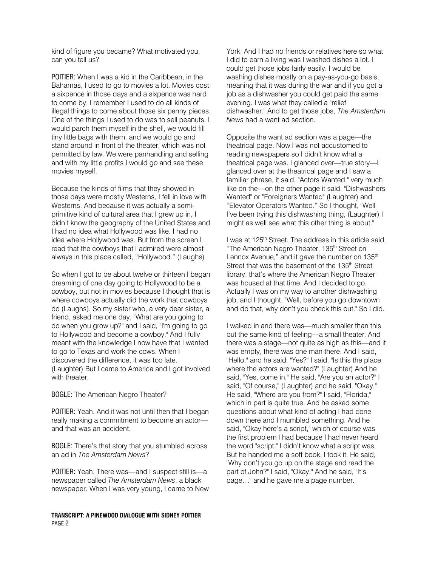kind of figure you became? What motivated you, can you tell us?

POITIER: When I was a kid in the Caribbean, in the Bahamas, I used to go to movies a lot. Movies cost a sixpence in those days and a sixpence was hard to come by. I remember I used to do all kinds of illegal things to come about those six penny pieces. One of the things I used to do was to sell peanuts. I would parch them myself in the shell, we would fill tiny little bags with them, and we would go and stand around in front of the theater, which was not permitted by law. We were panhandling and selling and with my little profits I would go and see these movies myself.

Because the kinds of films that they showed in those days were mostly Westerns, I fell in love with Westerns. And because it was actually a semiprimitive kind of cultural area that I grew up in, I didn't know the geography of the United States and I had no idea what Hollywood was like. I had no idea where Hollywood was. But from the screen I read that the cowboys that I admired were almost always in this place called, "Hollywood." (Laughs)

So when I got to be about twelve or thirteen I began dreaming of one day going to Hollywood to be a cowboy, but not in movies because I thought that is where cowboys actually did the work that cowboys do (Laughs). So my sister who, a very dear sister, a friend, asked me one day, "What are you going to do when you grow up?" and I said, "I'm going to go to Hollywood and become a cowboy." And I fully meant with the knowledge I now have that I wanted to go to Texas and work the cows. When I discovered the difference, it was too late. (Laughter) But I came to America and I got involved with theater.

BOGLE: The American Negro Theater?

POITIER: Yeah. And it was not until then that I began really making a commitment to become an actor and that was an accident.

BOGLE: There's that story that you stumbled across an ad in The Amsterdam News?

POITIER: Yeah. There was—and I suspect still is—a newspaper called The Amsterdam News, a black newspaper. When I was very young, I came to New

TRANSCRIPT: A PINEWOOD DIALOGUE WITH SIDNEY POITIER PAGE 2

York. And I had no friends or relatives here so what I did to earn a living was I washed dishes a lot. I could get those jobs fairly easily. I would be washing dishes mostly on a pay-as-you-go basis, meaning that it was during the war and if you got a job as a dishwasher you could get paid the same evening. I was what they called a "relief dishwasher." And to get those jobs, The Amsterdam News had a want ad section.

Opposite the want ad section was a page—the theatrical page. Now I was not accustomed to reading newspapers so I didn't know what a theatrical page was. I glanced over—true story—I glanced over at the theatrical page and I saw a familiar phrase, it said, "Actors Wanted," very much like on the—on the other page it said, "Dishwashers Wanted" or "Foreigners Wanted" (Laughter) and "Elevator Operators Wanted." So I thought, "Well I've been trying this dishwashing thing, (Laughter) I might as well see what this other thing is about."

I was at 125<sup>th</sup> Street. The address in this article said, "The American Negro Theater, 135<sup>th</sup> Street on Lennox Avenue," and it gave the number on 135<sup>th</sup> Street that was the basement of the 135<sup>th</sup> Street library, that's where the American Negro Theater was housed at that time. And I decided to go. Actually I was on my way to another dishwashing job, and I thought, "Well, before you go downtown and do that, why don't you check this out." So I did.

I walked in and there was—much smaller than this but the same kind of feeling—a small theater. And there was a stage—not quite as high as this—and it was empty, there was one man there. And I said, "Hello," and he said, "Yes?" I said, "Is this the place where the actors are wanted?" (Laughter) And he said, "Yes, come in." He said, "Are you an actor?" I said, "Of course," (Laughter) and he said, "Okay." He said, "Where are you from?" I said, "Florida," which in part is quite true. And he asked some questions about what kind of acting I had done down there and I mumbled something. And he said, "Okay here's a script," which of course was the first problem I had because I had never heard the word "script." I didn't know what a script was. But he handed me a soft book. I took it. He said, "Why don't you go up on the stage and read the part of John?" I said, "Okay." And he said, "It's page…" and he gave me a page number.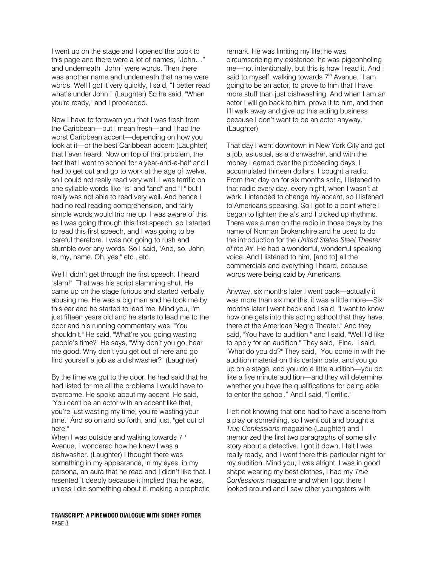I went up on the stage and I opened the book to this page and there were a lot of names, "John…" and underneath "John" were words. Then there was another name and underneath that name were words. Well I got it very quickly, I said, "I better read what's under John." (Laughter) So he said, "When you're ready," and I proceeded.

Now I have to forewarn you that I was fresh from the Caribbean—but I mean fresh—and I had the worst Caribbean accent—depending on how you look at it—or the best Caribbean accent (Laughter) that I ever heard. Now on top of that problem, the fact that I went to school for a year-and-a-half and I had to get out and go to work at the age of twelve, so I could not really read very well. I was terrific on one syllable words like "is" and "and" and "I," but I really was not able to read very well. And hence I had no real reading comprehension, and fairly simple words would trip me up. I was aware of this as I was going through this first speech, so I started to read this first speech, and I was going to be careful therefore. I was not going to rush and stumble over any words. So I said, "And, so, John, is, my, name. Oh, yes," etc., etc.

Well I didn't get through the first speech. I heard "slam!" That was his script slamming shut. He came up on the stage furious and started verbally abusing me. He was a big man and he took me by this ear and he started to lead me. Mind you, I'm just fifteen years old and he starts to lead me to the door and his running commentary was, "You shouldn't." He said, "What're you going wasting people's time?" He says, "Why don't you go, hear me good. Why don't you get out of here and go find yourself a job as a dishwasher?" (Laughter)

By the time we got to the door, he had said that he had listed for me all the problems I would have to overcome. He spoke about my accent. He said, "You can't be an actor with an accent like that, you're just wasting my time, you're wasting your time." And so on and so forth, and just, "get out of here."

When I was outside and walking towards  $7<sup>th</sup>$ Avenue, I wondered how he knew I was a dishwasher. (Laughter) I thought there was something in my appearance, in my eyes, in my persona, an aura that he read and I didn't like that. I resented it deeply because it implied that he was, unless I did something about it, making a prophetic

#### TRANSCRIPT: A PINEWOOD DIALOGUE WITH SIDNEY POITIER PAGE 3

remark. He was limiting my life; he was circumscribing my existence; he was pigeonholing me—not intentionally, but this is how I read it. And I said to myself, walking towards  $7<sup>th</sup>$  Avenue, "I am going to be an actor, to prove to him that I have more stuff than just dishwashing. And when I am an actor I will go back to him, prove it to him, and then I'll walk away and give up this acting business because I don't want to be an actor anyway." (Laughter)

That day I went downtown in New York City and got a job, as usual, as a dishwasher, and with the money I earned over the proceeding days, I accumulated thirteen dollars. I bought a radio. From that day on for six months solid, I listened to that radio every day, every night, when I wasn't at work. I intended to change my accent, so I listened to Americans speaking. So I got to a point where I began to lighten the a's and I picked up rhythms. There was a man on the radio in those days by the name of Norman Brokenshire and he used to do the introduction for the United States Steel Theater of the Air. He had a wonderful, wonderful speaking voice. And I listened to him, [and to] all the commercials and everything I heard, because words were being said by Americans.

Anyway, six months later I went back—actually it was more than six months, it was a little more—Six months later I went back and I said, "I want to know how one gets into this acting school that they have there at the American Negro Theater." And they said, "You have to audition," and I said, "Well I'd like to apply for an audition." They said, "Fine." I said, "What do you do?" They said, "You come in with the audition material on this certain date, and you go up on a stage, and you do a little audition—you do like a five minute audition—and they will determine whether you have the qualifications for being able to enter the school." And I said, "Terrific."

I left not knowing that one had to have a scene from a play or something, so I went out and bought a True Confessions magazine (Laughter) and I memorized the first two paragraphs of some silly story about a detective. I got it down, I felt I was really ready, and I went there this particular night for my audition. Mind you, I was alright, I was in good shape wearing my best clothes, I had my True Confessions magazine and when I got there I looked around and I saw other youngsters with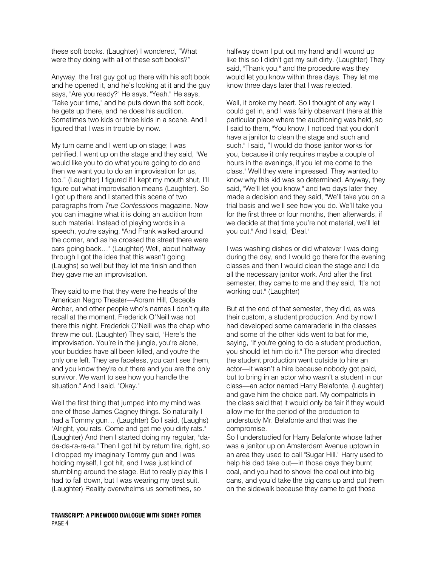these soft books. (Laughter) I wondered, "What were they doing with all of these soft books?"

Anyway, the first guy got up there with his soft book and he opened it, and he's looking at it and the guy says, "Are you ready?" He says, "Yeah." He says, "Take your time," and he puts down the soft book, he gets up there, and he does his audition. Sometimes two kids or three kids in a scene. And I figured that I was in trouble by now.

My turn came and I went up on stage; I was petrified. I went up on the stage and they said, "We would like you to do what you're going to do and then we want you to do an improvisation for us, too." (Laughter) I figured if I kept my mouth shut, I'll figure out what improvisation means (Laughter). So I got up there and I started this scene of two paragraphs from True Confessions magazine. Now you can imagine what it is doing an audition from such material. Instead of playing words in a speech, you're saying, "And Frank walked around the corner, and as he crossed the street there were cars going back…" (Laughter) Well, about halfway through I got the idea that this wasn't going (Laughs) so well but they let me finish and then they gave me an improvisation.

They said to me that they were the heads of the American Negro Theater—Abram Hill, Osceola Archer, and other people who's names I don't quite recall at the moment. Frederick O'Neill was not there this night. Frederick O'Neill was the chap who threw me out. (Laughter) They said, "Here's the improvisation. You're in the jungle, you're alone, your buddies have all been killed, and you're the only one left. They are faceless, you can't see them, and you know they're out there and you are the only survivor. We want to see how you handle the situation." And I said, "Okay."

Well the first thing that jumped into my mind was one of those James Cagney things. So naturally I had a Tommy gun… (Laughter) So I said, (Laughs) "Alright, you rats. Come and get me you dirty rats." (Laughter) And then I started doing my regular, "dada-da-ra-ra-ra." Then I got hit by return fire, right, so I dropped my imaginary Tommy gun and I was holding myself, I got hit, and I was just kind of stumbling around the stage. But to really play this I had to fall down, but I was wearing my best suit. (Laughter) Reality overwhelms us sometimes, so

#### TRANSCRIPT: A PINEWOOD DIALOGUE WITH SIDNEY POITIER PAGE 4

halfway down I put out my hand and I wound up like this so I didn't get my suit dirty. (Laughter) They said, "Thank you," and the procedure was they would let you know within three days. They let me know three days later that I was rejected.

Well, it broke my heart. So I thought of any way I could get in, and I was fairly observant there at this particular place where the auditioning was held, so I said to them, "You know, I noticed that you don't have a janitor to clean the stage and such and such." I said, "I would do those janitor works for you, because it only requires maybe a couple of hours in the evenings, if you let me come to the class." Well they were impressed. They wanted to know why this kid was so determined. Anyway, they said, "We'll let you know," and two days later they made a decision and they said, "We'll take you on a trial basis and we'll see how you do. We'll take you for the first three or four months, then afterwards, if we decide at that time you're not material, we'll let you out." And I said, "Deal."

I was washing dishes or did whatever I was doing during the day, and I would go there for the evening classes and then I would clean the stage and I do all the necessary janitor work. And after the first semester, they came to me and they said, "It's not working out." (Laughter)

But at the end of that semester, they did, as was their custom, a student production. And by now I had developed some camaraderie in the classes and some of the other kids went to bat for me, saying, "If you're going to do a student production, you should let him do it." The person who directed the student production went outside to hire an actor—it wasn't a hire because nobody got paid, but to bring in an actor who wasn't a student in our class—an actor named Harry Belafonte, (Laughter) and gave him the choice part. My compatriots in the class said that it would only be fair if they would allow me for the period of the production to understudy Mr. Belafonte and that was the compromise.

So I understudied for Harry Belafonte whose father was a janitor up on Amsterdam Avenue uptown in an area they used to call "Sugar Hill." Harry used to help his dad take out—in those days they burnt coal, and you had to shovel the coal out into big cans, and you'd take the big cans up and put them on the sidewalk because they came to get those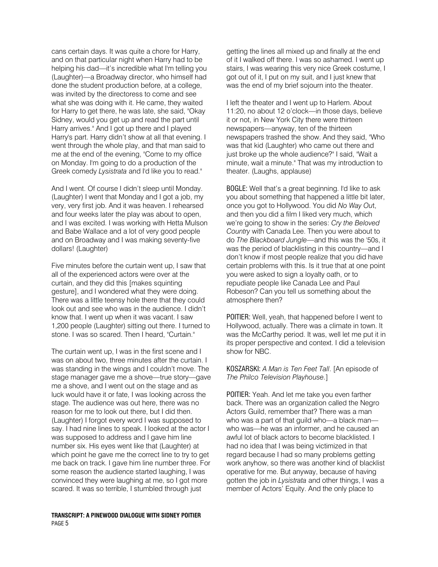cans certain days. It was quite a chore for Harry, and on that particular night when Harry had to be helping his dad—it's incredible what I'm telling you (Laughter)—a Broadway director, who himself had done the student production before, at a college, was invited by the directoress to come and see what she was doing with it. He came, they waited for Harry to get there, he was late, she said, "Okay Sidney, would you get up and read the part until Harry arrives." And I got up there and I played Harry's part. Harry didn't show at all that evening. I went through the whole play, and that man said to me at the end of the evening, "Come to my office on Monday. I'm going to do a production of the Greek comedy Lysistrata and I'd like you to read."

And I went. Of course I didn't sleep until Monday. (Laughter) I went that Monday and I got a job, my very, very first job. And it was heaven. I rehearsed and four weeks later the play was about to open, and I was excited. I was working with Hetta Mulson and Babe Wallace and a lot of very good people and on Broadway and I was making seventy-five dollars! (Laughter)

Five minutes before the curtain went up, I saw that all of the experienced actors were over at the curtain, and they did this [makes squinting gesture], and I wondered what they were doing. There was a little teensy hole there that they could look out and see who was in the audience. I didn't know that. I went up when it was vacant. I saw 1,200 people (Laughter) sitting out there. I turned to stone. I was so scared. Then I heard, "Curtain."

The curtain went up, I was in the first scene and I was on about two, three minutes after the curtain. I was standing in the wings and I couldn't move. The stage manager gave me a shove—true story—gave me a shove, and I went out on the stage and as luck would have it or fate, I was looking across the stage. The audience was out here, there was no reason for me to look out there, but I did then. (Laughter) I forgot every word I was supposed to say. I had nine lines to speak. I looked at the actor I was supposed to address and I gave him line number six. His eyes went like that (Laughter) at which point he gave me the correct line to try to get me back on track. I gave him line number three. For some reason the audience started laughing, I was convinced they were laughing at me, so I got more scared. It was so terrible, I stumbled through just

#### TRANSCRIPT: A PINEWOOD DIALOGUE WITH SIDNEY POITIER PAGE 5

getting the lines all mixed up and finally at the end of it I walked off there. I was so ashamed. I went up stairs, I was wearing this very nice Greek costume, I got out of it, I put on my suit, and I just knew that was the end of my brief sojourn into the theater.

I left the theater and I went up to Harlem. About 11:20, no about 12 o'clock—in those days, believe it or not, in New York City there were thirteen newspapers—anyway, ten of the thirteen newspapers trashed the show. And they said, "Who was that kid (Laughter) who came out there and just broke up the whole audience?" I said, "Wait a minute, wait a minute." That was my introduction to theater. (Laughs, applause)

BOGLE: Well that's a great beginning. I'd like to ask you about something that happened a little bit later, once you got to Hollywood. You did No Way Out, and then you did a film I liked very much, which we're going to show in the series: Cry the Beloved Country with Canada Lee. Then you were about to do The Blackboard Jungle—and this was the '50s, it was the period of blacklisting in this country—and I don't know if most people realize that you did have certain problems with this. Is it true that at one point you were asked to sign a loyalty oath, or to repudiate people like Canada Lee and Paul Robeson? Can you tell us something about the atmosphere then?

POITIER: Well, yeah, that happened before I went to Hollywood, actually. There was a climate in town. It was the McCarthy period. It was, well let me put it in its proper perspective and context. I did a television show for NBC.

KOSZARSKI: A Man is Ten Feet Tall. [An episode of The Philco Television Playhouse.]

POITIER: Yeah. And let me take you even farther back. There was an organization called the Negro Actors Guild, remember that? There was a man who was a part of that guild who—a black man who was—he was an informer, and he caused an awful lot of black actors to become blacklisted. I had no idea that I was being victimized in that regard because I had so many problems getting work anyhow, so there was another kind of blacklist operative for me. But anyway, because of having gotten the job in Lysistrata and other things, I was a member of Actors' Equity. And the only place to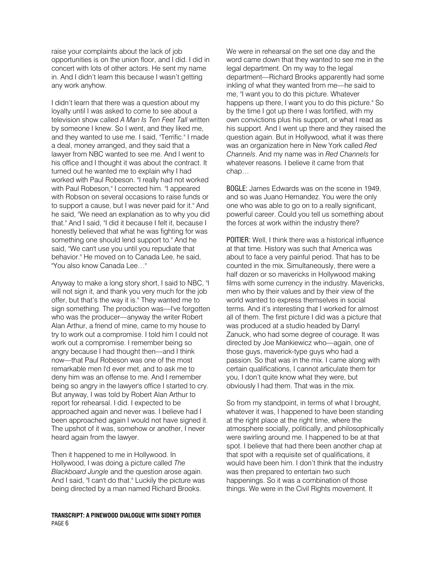raise your complaints about the lack of job opportunities is on the union floor, and I did. I did in concert with lots of other actors. He sent my name in. And I didn't learn this because I wasn't getting any work anyhow.

I didn't learn that there was a question about my loyalty until I was asked to come to see about a television show called A Man Is Ten Feet Tall written by someone I knew. So I went, and they liked me, and they wanted to use me. I said, "Terrific." I made a deal, money arranged, and they said that a lawyer from NBC wanted to see me. And I went to his office and I thought it was about the contract. It turned out he wanted me to explain why I had worked with Paul Robeson. "I really had not worked with Paul Robeson," I corrected him. "I appeared with Robson on several occasions to raise funds or to support a cause, but I was never paid for it." And he said, "We need an explanation as to why you did that." And I said, "I did it because I felt it, because I honestly believed that what he was fighting for was something one should lend support to." And he said, "We can't use you until you repudiate that behavior." He moved on to Canada Lee, he said, "You also know Canada Lee…"

Anyway to make a long story short, I said to NBC, "I will not sign it, and thank you very much for the job offer, but that's the way it is." They wanted me to sign something. The production was—I've forgotten who was the producer—anyway the writer Robert Alan Arthur, a friend of mine, came to my house to try to work out a compromise. I told him I could not work out a compromise. I remember being so angry because I had thought then—and I think now—that Paul Robeson was one of the most remarkable men I'd ever met, and to ask me to deny him was an offense to me. And I remember being so angry in the lawyer's office I started to cry. But anyway, I was told by Robert Alan Arthur to report for rehearsal. I did. I expected to be approached again and never was. I believe had I been approached again I would not have signed it. The upshot of it was, somehow or another, I never heard again from the lawyer.

Then it happened to me in Hollywood. In Hollywood, I was doing a picture called The Blackboard Jungle and the question arose again. And I said, "I can't do that." Luckily the picture was being directed by a man named Richard Brooks.

#### TRANSCRIPT: A PINEWOOD DIALOGUE WITH SIDNEY POITIER PAGE 6

We were in rehearsal on the set one day and the word came down that they wanted to see me in the legal department. On my way to the legal department—Richard Brooks apparently had some inkling of what they wanted from me—he said to me, "I want you to do this picture. Whatever happens up there, I want you to do this picture." So by the time I got up there I was fortified, with my own convictions plus his support, or what I read as his support. And I went up there and they raised the question again. But in Hollywood, what it was there was an organization here in New York called Red Channels. And my name was in Red Channels for whatever reasons. I believe it came from that chap…

BOGLE: James Edwards was on the scene in 1949, and so was Juano Hernandez. You were the only one who was able to go on to a really significant, powerful career. Could you tell us something about the forces at work within the industry there?

POITIER: Well, I think there was a historical influence at that time. History was such that America was about to face a very painful period. That has to be counted in the mix. Simultaneously, there were a half dozen or so mavericks in Hollywood making films with some currency in the industry. Mavericks, men who by their values and by their view of the world wanted to express themselves in social terms. And it's interesting that I worked for almost all of them. The first picture I did was a picture that was produced at a studio headed by Darryl Zanuck, who had some degree of courage. It was directed by Joe Mankiewicz who—again, one of those guys, maverick-type guys who had a passion. So that was in the mix. I came along with certain qualifications, I cannot articulate them for you, I don't quite know what they were, but obviously I had them. That was in the mix.

So from my standpoint, in terms of what I brought, whatever it was, I happened to have been standing at the right place at the right time, where the atmosphere socially, politically, and philosophically were swirling around me. I happened to be at that spot. I believe that had there been another chap at that spot with a requisite set of qualifications, it would have been him. I don't think that the industry was then prepared to entertain two such happenings. So it was a combination of those things. We were in the Civil Rights movement. It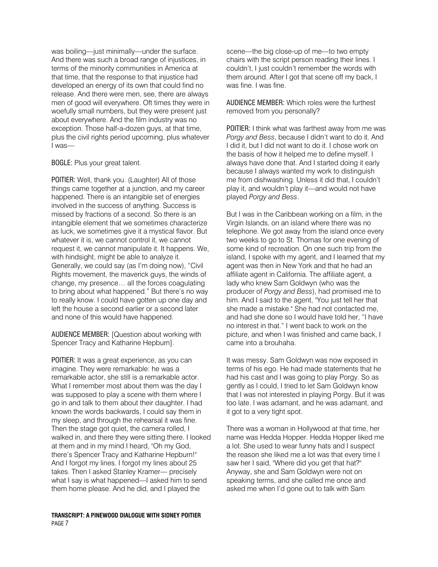was boiling—just minimally—under the surface. And there was such a broad range of injustices, in terms of the minority communities in America at that time, that the response to that injustice had developed an energy of its own that could find no release. And there were men, see, there are always men of good will everywhere. Oft times they were in woefully small numbers, but they were present just about everywhere. And the film industry was no exception. Those half-a-dozen guys, at that time, plus the civil rights period upcoming, plus whatever I was—

BOGLE: Plus your great talent.

POITIER: Well, thank you. (Laughter) All of those things came together at a junction, and my career happened. There is an intangible set of energies involved in the success of anything. Success is missed by fractions of a second. So there is an intangible element that we sometimes characterize as luck, we sometimes give it a mystical flavor. But whatever it is, we cannot control it, we cannot request it, we cannot manipulate it. It happens. We, with hindsight, might be able to analyze it. Generally, we could say (as I'm doing now), "Civil Rights movement, the maverick guys, the winds of change, my presence… all the forces coagulating to bring about what happened." But there's no way to really know. I could have gotten up one day and left the house a second earlier or a second later and none of this would have happened.

AUDIENCE MEMBER: [Question about working with Spencer Tracy and Katharine Hepburn].

POITIER: It was a great experience, as you can imagine. They were remarkable: he was a remarkable actor, she still is a remarkable actor. What I remember most about them was the day I was supposed to play a scene with them where I go in and talk to them about their daughter. I had known the words backwards, I could say them in my sleep, and through the rehearsal it was fine. Then the stage got quiet, the camera rolled, I walked in, and there they were sitting there. I looked at them and in my mind I heard, "Oh my God, there's Spencer Tracy and Katharine Hepburn!" And I forgot my lines. I forgot my lines about 25 takes. Then I asked Stanley Kramer— precisely what I say is what happened—I asked him to send them home please. And he did, and I played the

#### TRANSCRIPT: A PINEWOOD DIALOGUE WITH SIDNEY POITIER PAGE 7

scene—the big close-up of me—to two empty chairs with the script person reading their lines. I couldn't, I just couldn't remember the words with them around. After I got that scene off my back, I was fine. I was fine.

AUDIENCE MEMBER: Which roles were the furthest removed from you personally?

POITIER: I think what was farthest away from me was Porgy and Bess, because I didn't want to do it. And I did it, but I did not want to do it. I chose work on the basis of how it helped me to define myself. I always have done that. And I started doing it early because I always wanted my work to distinguish me from dishwashing. Unless it did that, I couldn't play it, and wouldn't play it—and would not have played Porgy and Bess.

But I was in the Caribbean working on a film, in the Virgin Islands, on an island where there was no telephone. We got away from the island once every two weeks to go to St. Thomas for one evening of some kind of recreation. On one such trip from the island, I spoke with my agent, and I learned that my agent was then in New York and that he had an affiliate agent in California. The affiliate agent, a lady who knew Sam Goldwyn (who was the producer of Porgy and Bess), had promised me to him. And I said to the agent, "You just tell her that she made a mistake." She had not contacted me, and had she done so I would have told her, "I have no interest in that." I went back to work on the picture, and when I was finished and came back, I came into a brouhaha.

It was messy. Sam Goldwyn was now exposed in terms of his ego. He had made statements that he had his cast and I was going to play Porgy. So as gently as I could, I tried to let Sam Goldwyn know that I was not interested in playing Porgy. But it was too late. I was adamant, and he was adamant, and it got to a very tight spot.

There was a woman in Hollywood at that time, her name was Hedda Hopper. Hedda Hopper liked me a lot. She used to wear funny hats and I suspect the reason she liked me a lot was that every time I saw her I said, "Where did you get that hat?" Anyway, she and Sam Goldwyn were not on speaking terms, and she called me once and asked me when I'd gone out to talk with Sam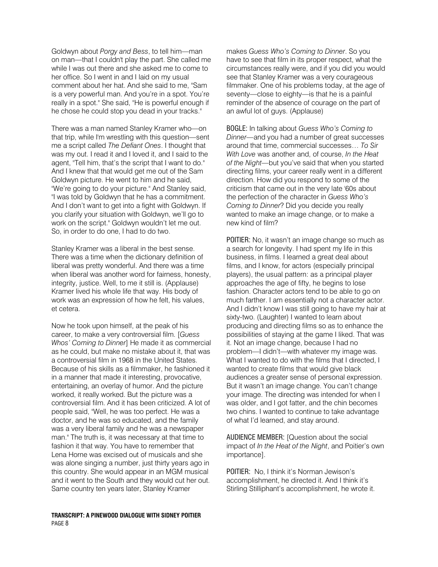Goldwyn about Porgy and Bess, to tell him—man on man—that I couldn't play the part. She called me while I was out there and she asked me to come to her office. So I went in and I laid on my usual comment about her hat. And she said to me, "Sam is a very powerful man. And you're in a spot. You're really in a spot." She said, "He is powerful enough if he chose he could stop you dead in your tracks."

There was a man named Stanley Kramer who—on that trip, while I'm wrestling with this question—sent me a script called The Defiant Ones. I thought that was my out. I read it and I loved it, and I said to the agent, "Tell him, that's the script that I want to do." And I knew that that would get me out of the Sam Goldwyn picture. He went to him and he said, "We're going to do your picture." And Stanley said, "I was told by Goldwyn that he has a commitment. And I don't want to get into a fight with Goldwyn. If you clarify your situation with Goldwyn, we'll go to work on the script." Goldwyn wouldn't let me out. So, in order to do one, I had to do two.

Stanley Kramer was a liberal in the best sense. There was a time when the dictionary definition of liberal was pretty wonderful. And there was a time when liberal was another word for fairness, honesty, integrity, justice. Well, to me it still is. (Applause) Kramer lived his whole life that way. His body of work was an expression of how he felt, his values, et cetera.

Now he took upon himself, at the peak of his career, to make a very controversial film. [Guess Whos' Coming to Dinner] He made it as commercial as he could, but make no mistake about it, that was a controversial film in 1968 in the United States. Because of his skills as a filmmaker, he fashioned it in a manner that made it interesting, provocative, entertaining, an overlay of humor. And the picture worked, it really worked. But the picture was a controversial film. And it has been criticized. A lot of people said, "Well, he was too perfect. He was a doctor, and he was so educated, and the family was a very liberal family and he was a newspaper man." The truth is, it was necessary at that time to fashion it that way. You have to remember that Lena Horne was excised out of musicals and she was alone singing a number, just thirty years ago in this country. She would appear in an MGM musical and it went to the South and they would cut her out. Same country ten years later, Stanley Kramer

#### TRANSCRIPT: A PINEWOOD DIALOGUE WITH SIDNEY POITIER PAGE 8

makes Guess Who's Coming to Dinner. So you have to see that film in its proper respect, what the circumstances really were, and if you did you would see that Stanley Kramer was a very courageous filmmaker. One of his problems today, at the age of seventy—close to eighty—is that he is a painful reminder of the absence of courage on the part of an awful lot of guys. (Applause)

BOGLE: In talking about Guess Who's Coming to Dinner—and you had a number of great successes around that time, commercial successes… To Sir With Love was another and, of course, In the Heat of the Night—but you've said that when you started directing films, your career really went in a different direction. How did you respond to some of the criticism that came out in the very late '60s about the perfection of the character in Guess Who's Coming to Dinner? Did you decide you really wanted to make an image change, or to make a new kind of film?

POITIER: No, it wasn't an image change so much as a search for longevity. I had spent my life in this business, in films. I learned a great deal about films, and I know, for actors (especially principal players), the usual pattern: as a principal player approaches the age of fifty, he begins to lose fashion. Character actors tend to be able to go on much farther. I am essentially not a character actor. And I didn't know I was still going to have my hair at sixty-two. (Laughter) I wanted to learn about producing and directing films so as to enhance the possibilities of staying at the game I liked. That was it. Not an image change, because I had no problem—I didn't—with whatever my image was. What I wanted to do with the films that I directed, I wanted to create films that would give black audiences a greater sense of personal expression. But it wasn't an image change. You can't change your image. The directing was intended for when I was older, and I got fatter, and the chin becomes two chins. I wanted to continue to take advantage of what I'd learned, and stay around.

AUDIENCE MEMBER: [Question about the social impact of In the Heat of the Night, and Poitier's own importance].

POITIER: No, I think it's Norman Jewison's accomplishment, he directed it. And I think it's Stirling Stilliphant's accomplishment, he wrote it.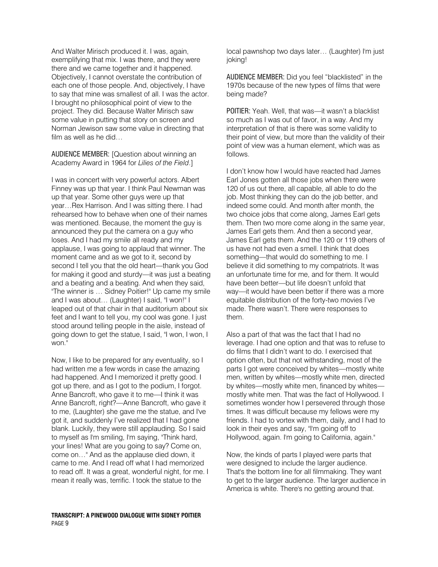And Walter Mirisch produced it. I was, again, exemplifying that mix. I was there, and they were there and we came together and it happened. Objectively, I cannot overstate the contribution of each one of those people. And, objectively, I have to say that mine was smallest of all. I was the actor. I brought no philosophical point of view to the project. They did. Because Walter Mirisch saw some value in putting that story on screen and Norman Jewison saw some value in directing that film as well as he did…

AUDIENCE MEMBER: [Question about winning an Academy Award in 1964 for Lilies of the Field.]

I was in concert with very powerful actors. Albert Finney was up that year. I think Paul Newman was up that year. Some other guys were up that year…Rex Harrison. And I was sitting there. I had rehearsed how to behave when one of their names was mentioned. Because, the moment the guy is announced they put the camera on a guy who loses. And I had my smile all ready and my applause, I was going to applaud that winner. The moment came and as we got to it, second by second I tell you that the old heart—thank you God for making it good and sturdy—it was just a beating and a beating and a beating. And when they said, "The winner is … Sidney Poitier!" Up came my smile and I was about… (Laughter) I said, "I won!" I leaped out of that chair in that auditorium about six feet and I want to tell you, my cool was gone. I just stood around telling people in the aisle, instead of going down to get the statue, I said, "I won, I won, I won."

Now, I like to be prepared for any eventuality, so I had written me a few words in case the amazing had happened. And I memorized it pretty good. I got up there, and as I got to the podium, I forgot. Anne Bancroft, who gave it to me—I think it was Anne Bancroft, right?—Anne Bancroft, who gave it to me, (Laughter) she gave me the statue, and I've got it, and suddenly I've realized that I had gone blank. Luckily, they were still applauding. So I said to myself as I'm smiling, I'm saying, "Think hard, your lines! What are you going to say? Come on, come on…" And as the applause died down, it came to me. And I read off what I had memorized to read off. It was a great, wonderful night, for me. I mean it really was, terrific. I took the statue to the

local pawnshop two days later… (Laughter) I'm just joking!

AUDIENCE MEMBER: Did you feel "blacklisted" in the 1970s because of the new types of films that were being made?

POITIER: Yeah. Well, that was—it wasn't a blacklist so much as I was out of favor, in a way. And my interpretation of that is there was some validity to their point of view, but more than the validity of their point of view was a human element, which was as follows.

I don't know how I would have reacted had James Earl Jones gotten all those jobs when there were 120 of us out there, all capable, all able to do the job. Most thinking they can do the job better, and indeed some could. And month after month, the two choice jobs that come along, James Earl gets them. Then two more come along in the same year, James Earl gets them. And then a second year, James Earl gets them. And the 120 or 119 others of us have not had even a smell. I think that does something—that would do something to me. I believe it did something to my compatriots. It was an unfortunate time for me, and for them. It would have been better—but life doesn't unfold that way—it would have been better if there was a more equitable distribution of the forty-two movies I've made. There wasn't. There were responses to them.

Also a part of that was the fact that I had no leverage. I had one option and that was to refuse to do films that I didn't want to do. I exercised that option often, but that not withstanding, most of the parts I got were conceived by whites—mostly white men, written by whites—mostly white men, directed by whites—mostly white men, financed by whites mostly white men. That was the fact of Hollywood. I sometimes wonder how I persevered through those times. It was difficult because my fellows were my friends. I had to vortex with them, daily, and I had to look in their eyes and say, "I'm going off to Hollywood, again. I'm going to California, again."

Now, the kinds of parts I played were parts that were designed to include the larger audience. That's the bottom line for all filmmaking. They want to get to the larger audience. The larger audience in America is white. There's no getting around that.